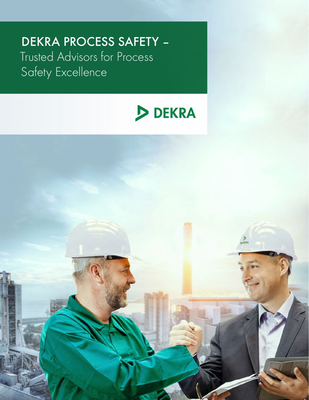# DEKRA PROCESS SAFETY – Trusted Advisors for Process Safety Excellence



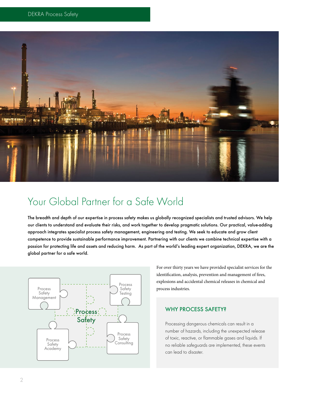

### Your Global Partner for a Safe World

The breadth and depth of our expertise in process safety makes us globally recognized specialists and trusted advisors. We help our clients to understand and evaluate their risks, and work together to develop pragmatic solutions. Our practical, value-adding approach integrates specialist process safety management, engineering and testing. We seek to educate and grow client competence to provide sustainable performance improvement. Partnering with our clients we combine technical expertise with a passion for protecting life and assets and reducing harm. As part of the world's leading expert organization, DEKRA, we are the global partner for a safe world.



For over thirty years we have provided specialist services for the identification, analysis, prevention and management of fires, explosions and accidental chemical releases in chemical and process industries.

#### WHY PROCESS SAFETY?

Processing dangerous chemicals can result in a number of hazards, including the unexpected release of toxic, reactive, or flammable gases and liquids. If no reliable safeguards are implemented, these events can lead to disaster.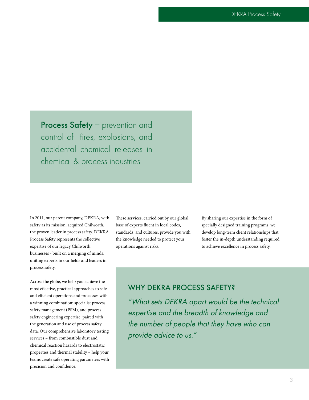Process Safety = prevention and control of fires, explosions, and accidental chemical releases in chemical & process industries

In 2011, our parent company, DEKRA, with safety as its mission, acquired Chilworth, the proven leader in process safety. DEKRA Process Safety represents the collective expertise of our legacy Chilworth businesses - built on a merging of minds, uniting experts in our fields and leaders in process safety.

Across the globe, we help you achieve the most effective, practical approaches to safe and efficient operations and processes with a winning combination: specialist process safety management (PSM), and process safety engineering expertise, paired with the generation and use of process safety data. Our comprehensive laboratory testing services – from combustible dust and chemical reaction hazards to electrostatic properties and thermal stability – help your teams create safe operating parameters with precision and confidence.

These services, carried out by our global base of experts fluent in local codes, standards, and cultures, provide you with the knowledge needed to protect your operations against risks.

By sharing our expertise in the form of specially designed training programs, we develop long-term client relationships that foster the in-depth understanding required to achieve excellence in process safety.

### WHY DEKRA PROCESS SAFETY?

"What sets DEKRA apart would be the technical expertise and the breadth of knowledge and the number of people that they have who can provide advice to us."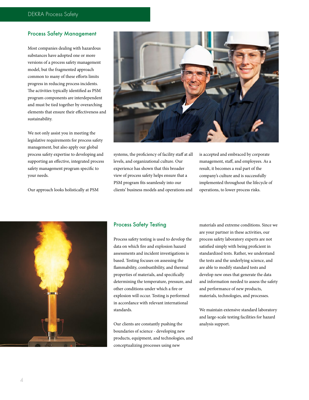#### Process Safety Management

Most companies dealing with hazardous substances have adopted one or more versions of a process safety management model, but the fragmented approach common to many of these efforts limits progress in reducing process incidents. The activities typically identified as PSM program components are interdependent and must be tied together by overarching elements that ensure their effectiveness and sustainability.

We not only assist you in meeting the legislative requirements for process safety management, but also apply our global process safety expertise to developing and supporting an effective, integrated process safety management program specific to your needs.

Our approach looks holistically at PSM



systems, the proficiency of facility staff at all levels, and organizational culture. Our experience has shown that this broader view of process safety helps ensure that a PSM program fits seamlessly into our clients' business models and operations and

is accepted and embraced by corporate management, staff, and employees. As a result, it becomes a real part of the company's culture and is successfully implemented throughout the lifecycle of operations, to lower process risks.



#### Process Safety Testing

Process safety testing is used to develop the data on which fire and explosion hazard assessments and incident investigations is based. Testing focuses on assessing the flammability, combustibility, and thermal properties of materials, and specifically determining the temperature, pressure, and other conditions under which a fire or explosion will occur. Testing is performed in accordance with relevant international standards.

Our clients are constantly pushing the boundaries of science - developing new products, equipment, and technologies, and conceptualizing processes using new

materials and extreme conditions. Since we are your partner in these activities, our process safety laboratory experts are not satisfied simply with being proficient in standardized tests. Rather, we understand the tests and the underlying science, and are able to modify standard tests and develop new ones that generate the data and information needed to assess the safety and performance of new products, materials, technologies, and processes.

We maintain extensive standard laboratory and large-scale testing facilities for hazard analysis support.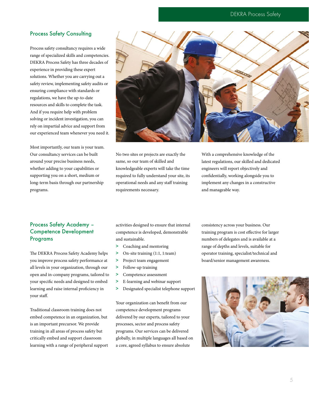#### DEKRA Process Safety

#### Process Safety Consulting

Process safety consultancy requires a wide range of specialized skills and competencies. DEKRA Process Safety has three decades of experience in providing these expert solutions. Whether you are carrying out a safety review, implementing safety audits or ensuring compliance with standards or regulations, we have the up-to-date resources and skills to complete the task. And if you require help with problem solving or incident investigation, you can rely on impartial advice and support from our experienced team whenever you need it.

Most importantly, our team is your team. Our consultancy services can be built around your precise business needs, whether adding to your capabilities or supporting you on a short, medium or long-term basis through our partnership programs.



No two sites or projects are exactly the same, so our team of skilled and knowledgeable experts will take the time required to fully understand your site, its operational needs and any staff training requirements necessary.

With a comprehensive knowledge of the latest regulations, our skilled and dedicated engineers will report objectively and confidentially, working alongside you to implement any changes in a constructive and manageable way.

#### Process Safety Academy – Competence Development Programs

The DEKRA Process Safety Academy helps you improve process safety performance at all levels in your organization, through our open and in-company programs, tailored to your specific needs and designed to embed learning and raise internal proficiency in your staff.

Traditional classroom training does not embed competence in an organization, but is an important precursor. We provide training in all areas of process safety but critically embed and support classroom learning with a range of peripheral support activities designed to ensure that internal competence is developed, demonstrable and sustainable.

- > Coaching and mentoring
- > On-site training (1:1, 1:team)
- > Project team engagement
- > Follow-up training
- > Competence assessment
- > E-learning and webinar support
- > Designated specialist telephone support

Your organization can benefit from our competence development programs delivered by our experts, tailored to your processes, sector and process safety programs. Our services can be delivered globally, in multiple languages all based on a core, agreed syllabus to ensure absolute

consistency across your business. Our training program is cost effective for larger numbers of delegates and is available at a range of depths and levels, suitable for operator training, specialist/technical and board/senior management awareness.

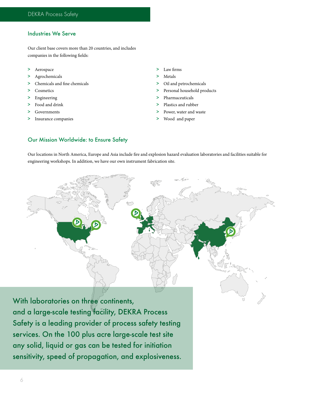#### Industries We Serve

Our client base covers more than 20 countries, and includes companies in the following fields:

- > Aerospace
- > Agrochemicals
- > Chemicals and fine chemicals
- > Cosmetics
- > Engineering
- > Food and drink
- > Governments
- > Insurance companies
- > Law firms
- > Metals
- > Oil and petrochemicals
- > Personal household products
- > Pharmaceuticals
- > Plastics and rubber
- Power, water and waste
- > Wood and paper

#### Our Mission Worldwide: to Ensure Safety

Our locations in North America, Europe and Asia include fire and explosion hazard evaluation laboratories and facilities suitable for engineering workshops. In addition, we have our own instrument fabrication site.



With laboratories on three continents, and a large-scale testing facility, DEKRA Process Safety is a leading provider of process safety testing services. On the 100 plus acre large-scale test site any solid, liquid or gas can be tested for initiation sensitivity, speed of propagation, and explosiveness.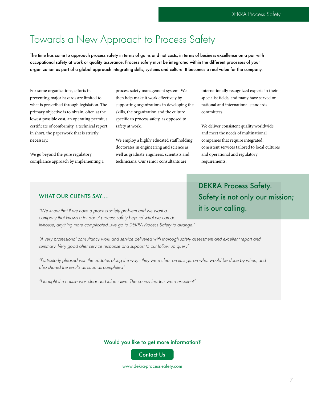## Towards a New Approach to Process Safety

The time has come to approach process safety in terms of gains and not costs, in terms of business excellence on a par with occupational safety at work or quality assurance. Process safety must be integrated within the different processes of your organization as part of a global approach integrating skills, systems and culture. It becomes a real value for the company.

For some organizations, efforts in preventing major hazards are limited to what is prescribed through legislation. The primary objective is to obtain, often at the lowest possible cost, an operating permit, a certificate of conformity, a technical report; in short, the paperwork that is strictly necessary.

We go beyond the pure regulatory compliance approach by implementing a process safety management system. We then help make it work effectively by supporting organizations in developing the skills, the organization and the culture specific to process safety, as opposed to safety at work.

We employ a highly educated staff holding doctorates in engineering and science as well as graduate engineers, scientists and technicians. Our senior consultants are

internationally recognized experts in their specialist fields, and many have served on national and international standards committees.

We deliver consistent quality worldwide and meet the needs of multinational companies that require integrated, consistent services tailored to local cultures and operational and regulatory requirements.

#### WHAT OUR CLIENTS SAY....

"We know that if we have a process safety problem and we want a company that knows a lot about process safety beyond what we can do in-house, anything more complicated…we go to DEKRA Process Safety to arrange."

"A very professional consultancy work and service delivered with thorough safety assessment and excellent report and summary. Very good after service response and support to our follow up query"

"Particularly pleased with the updates along the way - they were clear on timings, on what would be done by when, and also shared the results as soon as completed"

"I thought the course was clear and informative. The course leaders were excellent"

Would you like to get more information?

Contact Us

www.dekra-process-safety.com

DEKRA Process Safety. Safety is not only our mission; it is our calling.